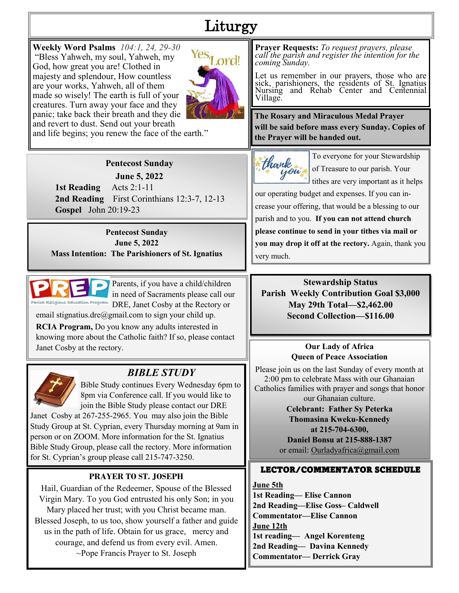# Liturgy

**Weekly Word Psalms** *104:1, 24, 29-30* "Bless Yahweh, my soul, Yahweh, my God, how great you are! Clothed in majesty and splendour, How countless are your works, Yahweh, all of them made so wisely! The earth is full of your creatures. Turn away your face and they panic; take back their breath and they die and revert to dust. Send out your breath



and life begins; you renew the face of the earth."

## **Pentecost Sunday**

**June 5, 2022**

 **1st Reading** Acts 2:1-11 **2nd Reading** First Corinthians 12:3-7, 12-13 **Gospel** John 20:19-23

**Pentecost Sunday June 5, 2022 Mass Intention: The Parishioners of St. Ignatius**



Parents, if you have a child/children in need of Sacraments please call our DRE, Janet Cosby at the Rectory or

email stignatius.dre $(\partial \text{gmail.com})$  to sign your child up.

**RCIA Program,** Do you know any adults interested in knowing more about the Catholic faith? If so, please contact Janet Cosby at the rectory.



# *BIBLE STUDY*

Bible Study continues Every Wednesday 6pm to 8pm via Conference call. If you would like to join the Bible Study please contact our DRE Janet Cosby at 267-255-2965. You may also join the Bible

Study Group at St. Cyprian, every Thursday morning at 9am in person or on ZOOM. More information for the St. Ignatius Bible Study Group, please call the rectory. More information for St. Cyprian's group please call 215-747-3250.

# **PRAYER TO ST. JOSEPH**

Hail, Guardian of the Redeemer, Spouse of the Blessed Virgin Mary. To you God entrusted his only Son; in you Mary placed her trust; with you Christ became man. Blessed Joseph, to us too, show yourself a father and guide us in the path of life. Obtain for us grace, mercy and courage, and defend us from every evil. Amen. ~Pope Francis Prayer to St. Joseph

**Prayer Requests:** *To request prayers, please call the parish and register the intention for the coming Sunday.*

Let us remember in our prayers, those who are sick, parishioners, the residents of St. Ignatius Nursing and Rehab Center and Centennial Village.

**The Rosary and Miraculous Medal Prayer will be said before mass every Sunday. Copies of the Prayer will be handed out.**



To everyone for your Stewardship of Treasure to our parish. Your tithes are very important as it helps

our operating budget and expenses. If you can increase your offering, that would be a blessing to our parish and to you. **If you can not attend church please continue to send in your tithes via mail or you may drop it off at the rectory.** Again, thank you very much.

**Stewardship Status Parish Weekly Contribution Goal \$3,000 May 29th Total—\$2,462.00 Second Collection—\$116.00**

#### **Our Lady of Africa Queen of Peace Association**

Please join us on the last Sunday of every month at 2:00 pm to celebrate Mass with our Ghanaian Catholics families with prayer and songs that honor our Ghanaian culture.

> **Celebrant: Father Sy Peterka Thomasina Kweku-Kennedy at 215-704-6300, Daniel Bonsu at 215-888-1387**  or email: Ourladyafrica@gmail.com

# LECTOR/COMMENTATOR SCHEDULE

**June 5th 1st Reading— Elise Cannon 2nd Reading—Elise Goss– Caldwell Commentator—Elise Cannon June 12th 1st reading— Angel Korenteng 2nd Reading— Davina Kennedy Commentator— Derrick Gray**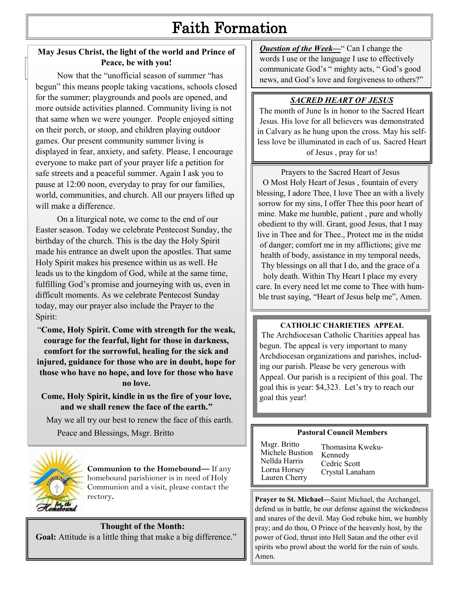# Faith Formation

## **May Jesus Christ, the light of the world and Prince of Peace, be with you!**

**Pace**, be with you:<br>Now that the "unofficial season of summer "has begun" this means people taking vacations, schools closed for the summer; playgrounds and pools are opened, and more outside activities planned. Community living is not that same when we were younger. People enjoyed sitting on their porch, or stoop, and children playing outdoor games. Our present community summer living is displayed in fear, anxiety, and safety. Please, I encourage everyone to make part of your prayer life a petition for safe streets and a peaceful summer. Again I ask you to pause at 12:00 noon, everyday to pray for our families, world, communities, and church. All our prayers lifted up will make a difference.

On a liturgical note, we come to the end of our Easter season. Today we celebrate Pentecost Sunday, the birthday of the church. This is the day the Holy Spirit made his entrance an dwelt upon the apostles. That same Holy Spirit makes his presence within us as well. He leads us to the kingdom of God, while at the same time, fulfilling God's promise and journeying with us, even in difficult moments. As we celebrate Pentecost Sunday today, may our prayer also include the Prayer to the Spirit:

"**Come, Holy Spirit. Come with strength for the weak, courage for the fearful, light for those in darkness, comfort for the sorrowful, healing for the sick and injured, guidance for those who are in doubt, hope for those who have no hope, and love for those who have no love.**

**Come, Holy Spirit, kindle in us the fire of your love, and we shall renew the face of the earth."** 

 May we all try our best to renew the face of this earth. Peace and Blessings, Msgr. Britto



**Communion to the Homebound—** If any homebound parishioner is in need of Holy Communion and a visit, please contact the rectory**.**

## **Thought of the Month:**

**Goal:** Attitude is a little thing that make a big difference."

**Question of the Week—**" Can I change the words I use or the language I use to effectively communicate God's " mighty acts, " God's good news, and God's love and forgiveness to others?"

# *SACRED HEART OF JESUS*

The month of June Is in honor to the Sacred Heart Jesus. His love for all believers was demonstrated in Calvary as he hung upon the cross. May his selfless love be illuminated in each of us. Sacred Heart of Jesus , pray for us!

Prayers to the Sacred Heart of Jesus O Most Holy Heart of Jesus , fountain of every blessing, I adore Thee, I love Thee an with a lively sorrow for my sins, I offer Thee this poor heart of mine. Make me humble, patient , pure and wholly obedient to thy will. Grant, good Jesus, that I may live in Thee and for Thee., Protect me in the midst of danger; comfort me in my afflictions; give me health of body, assistance in my temporal needs, Thy blessings on all that I do, and the grace of a holy death. Within Thy Heart I place my every care. In every need let me come to Thee with humble trust saying, "Heart of Jesus help me", Amen.

#### **CATHOLIC CHARIETIES APPEAL**

The Archdiocesan Catholic Charities appeal has begun. The appeal is very important to many Archdiocesan organizations and parishes, including our parish. Please be very generous with Appeal. Our parish is a recipient of this goal. The goal this is year: \$4,323. Let's try to reach our goal this year!

#### **Pastoral Council Members**

| Msgr. Britto<br>Michele Bustion<br>Nellda Harris<br>Lorna Horsey<br>Lauren Cherry | Thomasina Kweku-<br>Kennedy<br>Cedric Scott<br>Crystal Lanaham |
|-----------------------------------------------------------------------------------|----------------------------------------------------------------|
|-----------------------------------------------------------------------------------|----------------------------------------------------------------|

**Prayer to St. Michael—**Saint Michael, the Archangel, defend us in battle, be our defense against the wickedness and snares of the devil. May God rebuke him, we humbly pray; and do thou, O Prince of the heavenly host, by the power of God, thrust into Hell Satan and the other evil spirits who prowl about the world for the ruin of souls. Amen.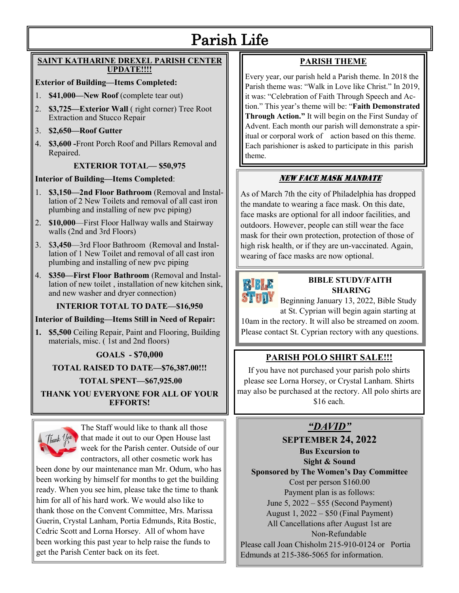# Parish Life

#### **SAINT KATHARINE DREXEL PARISH CENTER UPDATE!!!!**

#### **Exterior of Building—Items Completed:**

- 1. **\$41,000—New Roof** (complete tear out)
- 2. **\$3,725—Exterior Wall** ( right corner) Tree Root Extraction and Stucco Repair
- 3. **\$2,650—Roof Gutter**
- 4. **\$3,600 -**Front Porch Roof and Pillars Removal and Repaired.

#### **EXTERIOR TOTAL— \$50,975**

#### **Interior of Building—Items Completed**:

- 1. **\$3,150—2nd Floor Bathroom** (Removal and Installation of 2 New Toilets and removal of all cast iron plumbing and installing of new pvc piping)
- 2. **\$10,000**—First Floor Hallway walls and Stairway walls (2nd and 3rd Floors)
- 3. \$**3,450**—3rd Floor Bathroom (Removal and Installation of 1 New Toilet and removal of all cast iron plumbing and installing of new pvc piping
- 4. **\$350—First Floor Bathroom** (Removal and Installation of new toilet , installation of new kitchen sink, and new washer and dryer connection)

#### **INTERIOR TOTAL TO DATE—\$16,950**

**Interior of Building—Items Still in Need of Repair:**

**1. \$5,500** Ceiling Repair, Paint and Flooring, Building materials, misc. ( 1st and 2nd floors)

#### **GOALS - \$70,000**

#### **TOTAL RAISED TO DATE—\$76,387.00!!!**

**TOTAL SPENT—\$67,925.00**

**THANK YOU EVERYONE FOR ALL OF YOUR EFFORTS!**



The Staff would like to thank all those  $\int_{\mathbb{R}} \int_{\mathbb{R}} \psi \, d\mathbb{x}$  that made it out to our Open House last week for the Parish center. Outside of our contractors, all other cosmetic work has

been done by our maintenance man Mr. Odum, who has been working by himself for months to get the building ready. When you see him, please take the time to thank him for all of his hard work. We would also like to thank those on the Convent Committee, Mrs. Marissa Guerin, Crystal Lanham, Portia Edmunds, Rita Bostic, Cedric Scott and Lorna Horsey. All of whom have been working this past year to help raise the funds to get the Parish Center back on its feet.

# **PARISH THEME**

Every year, our parish held a Parish theme. In 2018 the Parish theme was: "Walk in Love like Christ." In 2019, it was: "Celebration of Faith Through Speech and Action." This year's theme will be: "**Faith Demonstrated Through Action."** It will begin on the First Sunday of Advent. Each month our parish will demonstrate a spiritual or corporal work of action based on this theme. Each parishioner is asked to participate in this parish theme.

## NEW FACE MASK MANDATE

As of March 7th the city of Philadelphia has dropped the mandate to wearing a face mask. On this date, face masks are optional for all indoor facilities, and outdoors. However, people can still wear the face mask for their own protection, protection of those of high risk health, or if they are un-vaccinated. Again, wearing of face masks are now optional.



### **BIBLE STUDY/FAITH SHARING**

Beginning January 13, 2022, Bible Study

at St. Cyprian will begin again starting at 10am in the rectory. It will also be streamed on zoom. Please contact St. Cyprian rectory with any questions.

## **PARISH POLO SHIRT SALE!!!**

If you have not purchased your parish polo shirts please see Lorna Horsey, or Crystal Lanham. Shirts may also be purchased at the rectory. All polo shirts are \$16 each.

# *"DAVID"*

**SEPTEMBER 24, 2022**

**Bus Excursion to** 

**Sight & Sound** 

**Sponsored by The Women's Day Committee** Cost per person \$160.00 Payment plan is as follows: June 5, 2022 – \$55 (Second Payment) August 1, 2022 – \$50 (Final Payment)

All Cancellations after August 1st are

Non-Refundable

Please call Joan Chisholm 215-910-0124 or Portia Edmunds at 215-386-5065 for information.